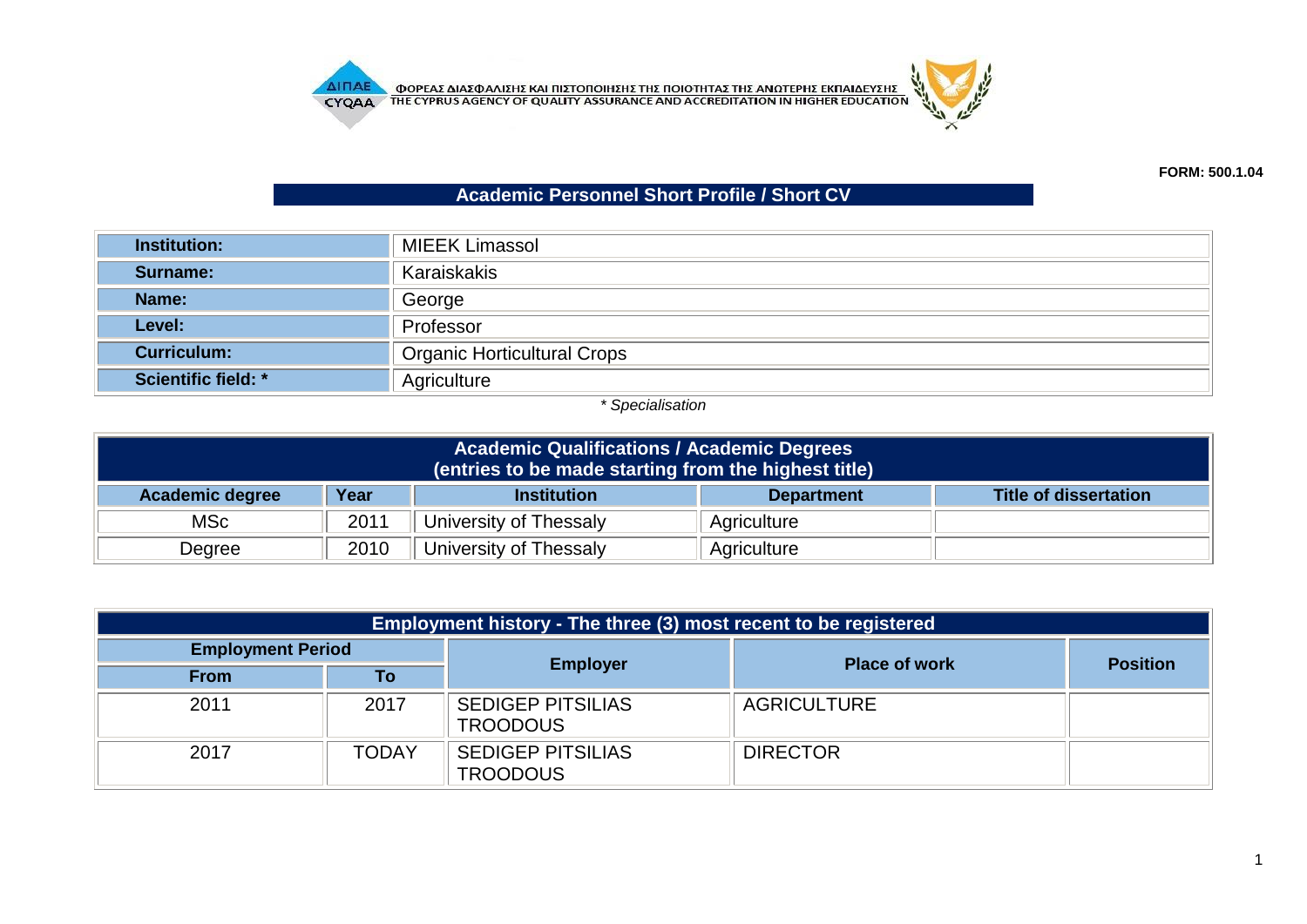**AITIAE OPEAE AIAE DATE KAI TILETOTOIHE E THE TOIOTHTAE THE ANOTEPHE EKTIAIAEYEHE CYQA A** THE CYPRUS AGENCY OF QUALITY ASSURANCE AND ACCREDITATION IN HIGHER EDUCATION



## **Academic Personnel Short Profile / Short CV**

| <b>Institution:</b>        | <b>MIEEK Limassol</b>              |  |
|----------------------------|------------------------------------|--|
| Surname:                   | Karaiskakis                        |  |
| Name:                      | George                             |  |
| Level:                     | Professor                          |  |
| <b>Curriculum:</b>         | <b>Organic Horticultural Crops</b> |  |
| <b>Scientific field: *</b> | Agriculture                        |  |

## *\* Specialisation*

| <b>Academic Qualifications / Academic Degrees</b><br>(entries to be made starting from the highest title) |      |                        |             |  |  |
|-----------------------------------------------------------------------------------------------------------|------|------------------------|-------------|--|--|
| Year<br><b>Academic degree</b><br><b>Title of dissertation</b><br><b>Institution</b><br><b>Department</b> |      |                        |             |  |  |
| MSc                                                                                                       | 2011 | University of Thessaly | Agriculture |  |  |
| Degree                                                                                                    | 2010 | University of Thessaly | Agriculture |  |  |

| Employment history - The three (3) most recent to be registered |              |                                             |                      |                 |  |  |
|-----------------------------------------------------------------|--------------|---------------------------------------------|----------------------|-----------------|--|--|
| <b>Employment Period</b>                                        |              |                                             |                      | <b>Position</b> |  |  |
| <b>From</b>                                                     | Τo           | <b>Employer</b>                             | <b>Place of work</b> |                 |  |  |
| 2011                                                            | 2017         | <b>SEDIGEP PITSILIAS</b><br><b>TROODOUS</b> | <b>AGRICULTURE</b>   |                 |  |  |
| 2017                                                            | <b>TODAY</b> | <b>SEDIGEP PITSILIAS</b><br><b>TROODOUS</b> | <b>DIRECTOR</b>      |                 |  |  |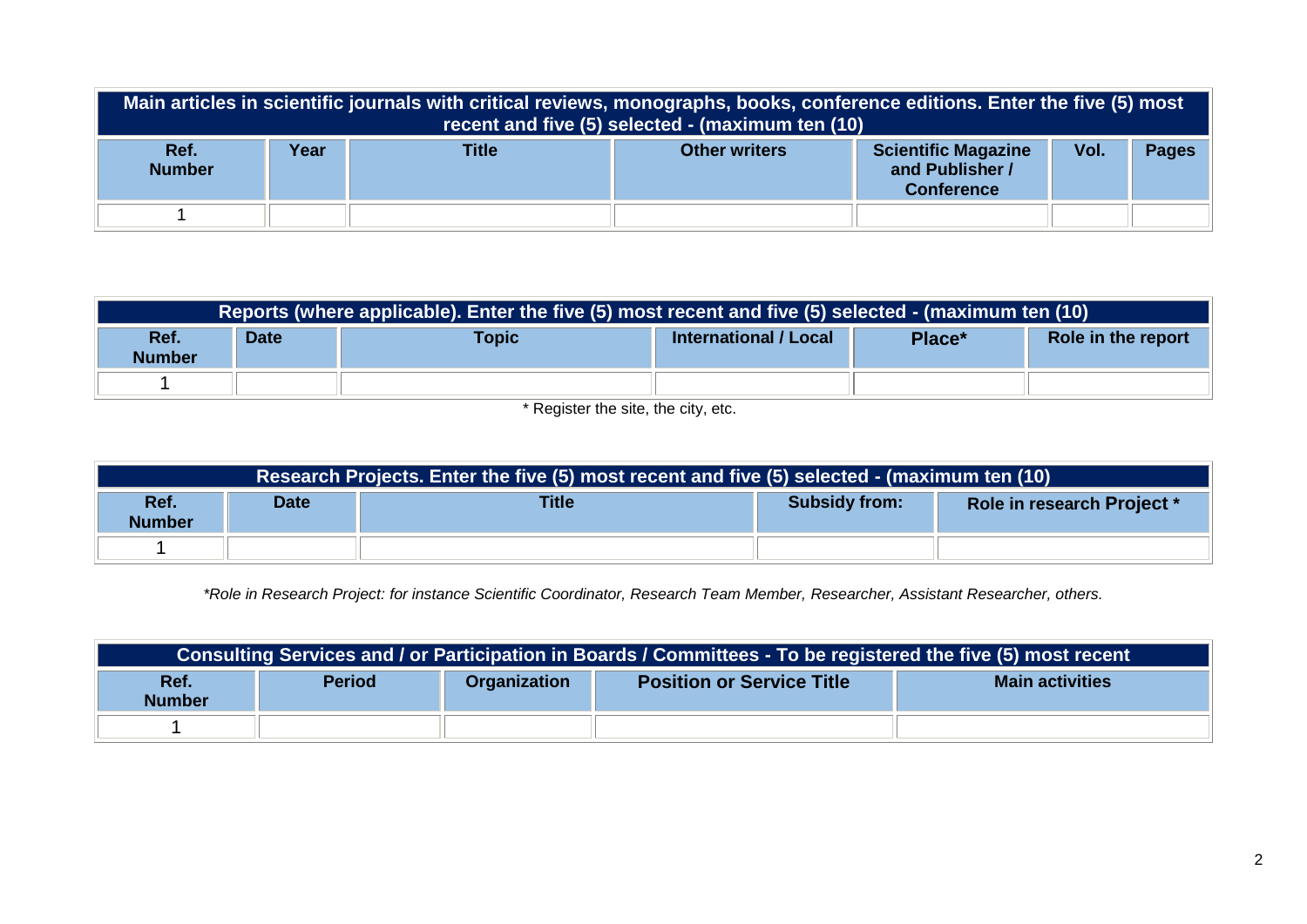|                       | Main articles in scientific journals with critical reviews, monographs, books, conference editions. Enter the five (5) most<br>recent and five (5) selected - (maximum ten (10) |       |                      |                                                                    |      |              |
|-----------------------|---------------------------------------------------------------------------------------------------------------------------------------------------------------------------------|-------|----------------------|--------------------------------------------------------------------|------|--------------|
| Ref.<br><b>Number</b> | Year                                                                                                                                                                            | Title | <b>Other writers</b> | <b>Scientific Magazine</b><br>and Publisher /<br><b>Conference</b> | Vol. | <b>Pages</b> |
|                       |                                                                                                                                                                                 |       |                      |                                                                    |      |              |

| Reports (where applicable). Enter the five (5) most recent and five (5) selected - (maximum ten (10) |             |              |                       |        |                    |
|------------------------------------------------------------------------------------------------------|-------------|--------------|-----------------------|--------|--------------------|
| Ref.<br><b>Number</b>                                                                                | <b>Date</b> | <b>Topic</b> | International / Local | Place* | Role in the report |
|                                                                                                      |             |              |                       |        |                    |

\* Register the site, the city, etc.

| Research Projects. Enter the five (5) most recent and five (5) selected - (maximum ten (10) |  |  |  |                            |  |  |
|---------------------------------------------------------------------------------------------|--|--|--|----------------------------|--|--|
| Ref.<br><b>Title</b><br><b>Subsidy from:</b><br><b>Date</b><br><b>Number</b>                |  |  |  | Role in research Project * |  |  |
|                                                                                             |  |  |  |                            |  |  |

*\*Role in Research Project: for instance Scientific Coordinator, Research Team Member, Researcher, Assistant Researcher, others.*

| Consulting Services and / or Participation in Boards / Committees - To be registered the five (5) most recent |               |              |                                  |                        |  |
|---------------------------------------------------------------------------------------------------------------|---------------|--------------|----------------------------------|------------------------|--|
| Ref.<br><b>Number</b>                                                                                         | <b>Period</b> | Organization | <b>Position or Service Title</b> | <b>Main activities</b> |  |
|                                                                                                               |               |              |                                  |                        |  |